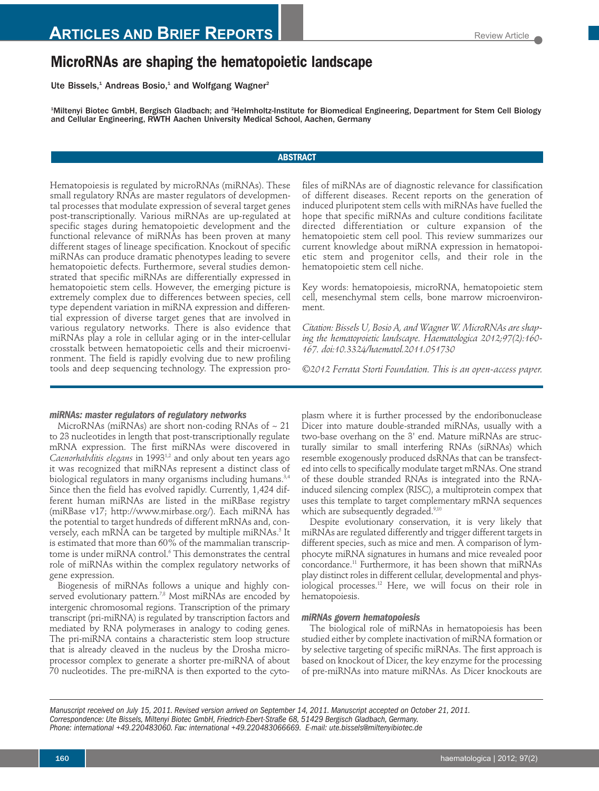# **MicroRNAs are shaping the hematopoietic landscape**

Ute Bissels,<sup>1</sup> Andreas Bosio,<sup>1</sup> and Wolfgang Wagner<sup>2</sup>

<sup>1</sup>Miltenyi Biotec GmbH, Bergisch Gladbach; and <sup>2</sup>Helmholtz-Institute for Biomedical Engineering, Department for Stem Cell Biology and Cellular Engineering, RWTH Aachen University Medical School, Aachen, Germany

# **ABSTRACT**

Hematopoiesis is regulated by microRNAs (miRNAs). These small regulatory RNAs are master regulators of developmental processes that modulate expression of several target genes post-transcriptionally. Various miRNAs are up-regulated at specific stages during hematopoietic development and the functional relevance of miRNAs has been proven at many different stages of lineage specification. Knockout of specific miRNAs can produce dramatic phenotypes leading to severe hematopoietic defects. Furthermore, several studies demonstrated that specific miRNAs are differentially expressed in hematopoietic stem cells. However, the emerging picture is extremely complex due to differences between species, cell type dependent variation in miRNA expression and differential expression of diverse target genes that are involved in various regulatory networks. There is also evidence that miRNAs play a role in cellular aging or in the inter-cellular crosstalk between hematopoietic cells and their microenvironment. The field is rapidly evolving due to new profiling tools and deep sequencing technology. The expression pro-

*miRNAs: master regulators of regulatory networks*

MicroRNAs (miRNAs) are short non-coding RNAs of  $\sim 21$ to 23 nucleotides in length that post-transcriptionally regulate mRNA expression. The first miRNAs were discovered in Caenorhabditis elegans in 1993<sup>1,2</sup> and only about ten years ago it was recognized that miRNAs represent a distinct class of biological regulators in many organisms including humans.<sup>3,4</sup> Since then the field has evolved rapidly. Currently, 1,424 different human miRNAs are listed in the miRBase registry (miRBase v17; http://www.mirbase.org/). Each miRNA has the potential to target hundreds of different mRNAs and, conversely, each mRNA can be targeted by multiple miRNAs.<sup>5</sup> It is estimated that more than 60% of the mammalian transcriptome is under miRNA control.<sup>6</sup> This demonstrates the central role of miRNAs within the complex regulatory networks of gene expression.

Biogenesis of miRNAs follows a unique and highly conserved evolutionary pattern.<sup>7,8</sup> Most miRNAs are encoded by intergenic chromosomal regions. Transcription of the primary transcript (pri-miRNA) is regulated by transcription factors and mediated by RNA polymerases in analogy to coding genes. The pri-miRNA contains a characteristic stem loop structure that is already cleaved in the nucleus by the Drosha microprocessor complex to generate a shorter pre-miRNA of about 70 nucleotides. The pre-miRNA is then exported to the cytofiles of miRNAs are of diagnostic relevance for classification of different diseases. Recent reports on the generation of induced pluripotent stem cells with miRNAs have fuelled the hope that specific miRNAs and culture conditions facilitate directed differentiation or culture expansion of the hematopoietic stem cell pool. This review summarizes our current knowledge about miRNA expression in hematopoietic stem and progenitor cells, and their role in the hematopoietic stem cell niche.

Key words: hematopoiesis, microRNA, hematopoietic stem cell, mesenchymal stem cells, bone marrow microenvironment.

*Citation: Bissels U, Bosio A, and Wagner W. MicroRNAs are shaping the hematopoietic landscape. Haematologica 2012;97(2):160- 167. doi:10.3324/haematol.2011.051730*

*©2012 Ferrata Storti Foundation. This is an open-access paper.* 

plasm where it is further processed by the endoribonuclease Dicer into mature double-stranded miRNAs, usually with a two-base overhang on the 3' end. Mature miRNAs are structurally similar to small interfering RNAs (siRNAs) which resemble exogenously produced dsRNAs that can be transfected into cells to specifically modulate target mRNAs. One strand of these double stranded RNAs is integrated into the RNAinduced silencing complex (RISC), a multiprotein compex that uses this template to target complementary mRNA sequences which are subsequently degraded.<sup>9,10</sup>

Despite evolutionary conservation, it is very likely that miRNAs are regulated differently and trigger different targets in different species, such as mice and men. A comparison of lymphocyte miRNA signatures in humans and mice revealed poor concordance.<sup>11</sup> Furthermore, it has been shown that miRNAs play distinct roles in different cellular, developmental and physiological processes.12 Here, we will focus on their role in hematopoiesis.

## *miRNAs govern hematopoiesis*

The biological role of miRNAs in hematopoiesis has been studied either by complete inactivation of miRNA formation or by selective targeting of specific miRNAs. The first approach is based on knockout of Dicer, the key enzyme for the processing of pre-miRNAs into mature miRNAs. As Dicer knockouts are

*Manuscript received on July 15, 2011. Revised version arrived on September 14, 2011. Manuscript accepted on October 21, 2011. Correspondence: Ute Bissels, Miltenyi Biotec GmbH, Friedrich-Ebert-Straße 68, 51429 Bergisch Gladbach, Germany. Phone: international +49.220483060. Fax: international +49.220483066669. E-mail: ute.bissels@miltenyibiotec.de*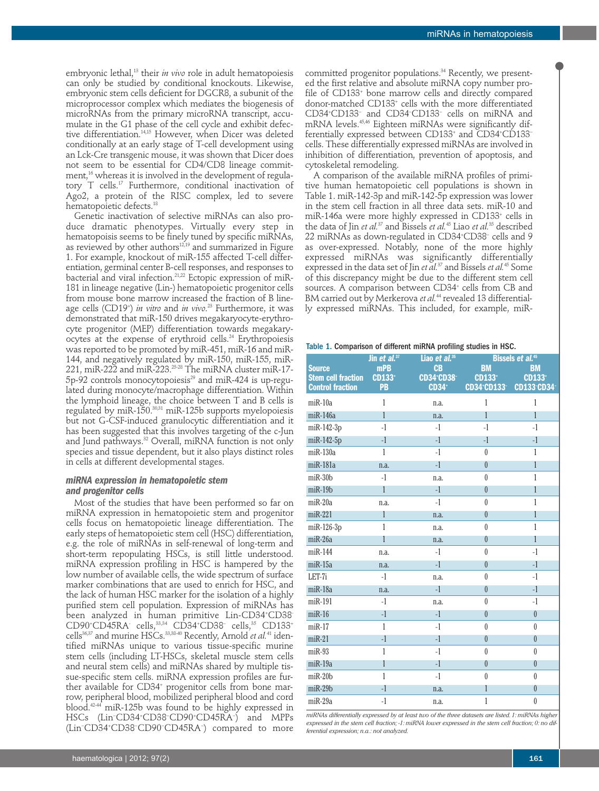embryonic lethal,<sup>13</sup> their *in vivo* role in adult hematopoiesis can only be studied by conditional knockouts. Likewise, embryonic stem cells deficient for DGCR8, a subunit of the microprocessor complex which mediates the biogenesis of microRNAs from the primary microRNA transcript, accumulate in the G1 phase of the cell cycle and exhibit defective differentiation.14,15 However, when Dicer was deleted conditionally at an early stage of T-cell development using an Lck-Cre transgenic mouse, it was shown that Dicer does not seem to be essential for CD4/CD8 lineage commitment,<sup>16</sup> whereas it is involved in the development of regulatory T cells.<sup>17</sup> Furthermore, conditional inactivation of Ago2, a protein of the RISC complex, led to severe hematopoietic defects.<sup>18</sup>

Genetic inactivation of selective miRNAs can also produce dramatic phenotypes. Virtually every step in hematopoisis seems to be finely tuned by specific miRNAs, as reviewed by other authors<sup>12,19</sup> and summarized in Figure 1. For example, knockout of miR-155 affected T-cell differentiation, germinal center B-cell responses, and responses to bacterial and viral infection.<sup>21,22</sup> Ectopic expression of miR-181 in lineage negative (Lin-) hematopoietic progenitor cells from mouse bone marrow increased the fraction of B lineage cells (CD19+ ) *in vitro* and *in vivo*. <sup>23</sup> Furthermore, it was demonstrated that miR-150 drives megakaryocyte-erythrocyte progenitor (MEP) differentiation towards megakaryocytes at the expense of erythroid cells.<sup>24</sup> Erythropoiesis was reported to be promoted by miR-451, miR-16 and miR-144, and negatively regulated by miR-150, miR-155, miR-221, miR-222 and miR-223.25-28 The miRNA cluster miR-17- 5p-92 controls monocytopoiesis<sup>29</sup> and miR-424 is up-regulated during monocyte/macrophage differentiation. Within the lymphoid lineage, the choice between T and B cells is regulated by miR-150.30,31 miR-125b supports myelopoiesis but not G-CSF-induced granulocytic differentiation and it has been suggested that this involves targeting of the c-Jun and Jund pathways.<sup>32</sup> Overall, miRNA function is not only species and tissue dependent, but it also plays distinct roles in cells at different developmental stages.

## *miRNA expression in hematopoietic stem and progenitor cells*

Most of the studies that have been performed so far on miRNA expression in hematopoietic stem and progenitor cells focus on hematopoietic lineage differentiation. The early steps of hematopoietic stem cell (HSC) differentiation, e.g. the role of miRNAs in self-renewal of long-term and short-term repopulating HSCs, is still little understood. miRNA expression profiling in HSC is hampered by the low number of available cells, the wide spectrum of surface marker combinations that are used to enrich for HSC, and the lack of human HSC marker for the isolation of a highly purified stem cell population. Expression of miRNAs has been analyzed in human primitive Lin-CD34+ CD38- CD90<sup>+</sup>CD45RA<sup>-</sup> cells,<sup>33,34</sup> CD34<sup>+</sup>CD38<sup>-</sup> cells,<sup>35</sup> CD133<sup>+</sup> cells<sup>36,37</sup> and murine HSCs.<sup>33,38-40</sup> Recently, Arnold *et al.*<sup>41</sup> identified miRNAs unique to various tissue-specific murine stem cells (including LT-HSCs, skeletal muscle stem cells and neural stem cells) and miRNAs shared by multiple tissue-specific stem cells. miRNA expression profiles are further available for CD34<sup>+</sup> progenitor cells from bone marrow, peripheral blood, mobilized peripheral blood and cord blood.42-44 miR-125b was found to be highly expressed in HSCs (Lin− CD34+ CD38− CD90+ CD45RA− ) and MPPs (Lin− CD34+ CD38− CD90− CD45RA− ) compared to more

committed progenitor populations.<sup>34</sup> Recently, we presented the first relative and absolute miRNA copy number profile of CD133<sup>+</sup> bone marrow cells and directly compared donor-matched CD133+ cells with the more differentiated CD34+ CD133− and CD34− CD133− cells on miRNA and mRNA levels.45,46 Eighteen miRNAs were significantly differentially expressed between CD133+ and CD34+ CD133− cells. These differentially expressed miRNAs are involved in inhibition of differentiation, prevention of apoptosis, and cytoskeletal remodeling.

A comparison of the available miRNA profiles of primitive human hematopoietic cell populations is shown in Table 1. miR-142-3p and miR-142-5p expression was lower in the stem cell fraction in all three data sets. miR-10 and miR-146a were more highly expressed in CD133+ cells in the data of Jin *et al.*<sup>37</sup> and Bissels *et al.*<sup>45</sup> Liao *et al.*<sup>35</sup> described 22 miRNAs as down-regulated in CD34+ CD38− cells and 9 as over-expressed. Notably, none of the more highly expressed miRNAs was significantly differentially expressed in the data set of Jin *et al.*<sup>37</sup> and Bissels *et al.*<sup>45</sup> Some of this discrepancy might be due to the different stem cell sources. A comparison between CD34*<sup>+</sup>* cells from CB and BM carried out by Merkerova *et al.*<sup>44</sup> revealed 13 differentially expressed miRNAs. This included, for example, miR-

#### Table 1. Comparison of different miRNA profiling studies in HSC.

|                           | Jin et al. <sup>37</sup> | Liao et al. <sup>35</sup>    | Bissels et al. <sup>45</sup> |                  |
|---------------------------|--------------------------|------------------------------|------------------------------|------------------|
| <b>Source</b>             | <b>mPB</b>               | CB                           | <b>BM</b>                    | <b>BM</b>        |
| <b>Stem cell fraction</b> | <b>CD133*</b>            | <b>CD34*CD38<sup>-</sup></b> | <b>CD133*</b>                | <b>CD133*</b>    |
| <b>Control fraction</b>   | PB                       | <b>CD34*</b>                 | <b>CD34*CD133*</b>           | CD133-CD34-      |
| $m$ i $R-10a$             | 1                        | n.a.                         | 1                            | 1                |
| $m$ i $R-146a$            | 1                        | n.a.                         | 1                            | $\mathbf{1}$     |
| $miR-142-3p$              | $-1$                     | $-1$                         | $-1$                         | $-1$             |
| $miR-142-5p$              | $-1$                     | $-1$                         | $-1$                         | $-1$             |
| $miR-130a$                | 1                        | $-1$                         | $\theta$                     | $\mathbf 1$      |
| miR-181a                  | n.a.                     | $-1$                         | $\theta$                     | $\mathbf{1}$     |
| $m$ i $R-30$ b            | $-1$                     | n.a.                         | $\theta$                     | 1                |
| $m$ i $R-19b$             | 1                        | $-1$                         | $\theta$                     | 1                |
| $miR-20a$                 | n.a.                     | $-1$                         | $\theta$                     | 1                |
| $m$ iR-221                | 1                        | n.a.                         | $\theta$                     | 1                |
| $miR-126-3p$              | 1                        | n.a.                         | $\theta$                     | 1                |
| $miR-26a$                 | 1                        | n.a.                         | $\theta$                     | 1                |
| $m$ i $R-144$             | n.a.                     | $-1$                         | $\theta$                     | $-1$             |
| $m$ i $R-15a$             | n.a.                     | $-1$                         | $\theta$                     | $-1$             |
| LET-7i                    | $-1$                     | n.a.                         | $\theta$                     | $-1$             |
| miR-18a                   | n.a.                     | $-1$                         | $\theta$                     | $-1$             |
| miR-191                   | $-1$                     | n.a.                         | $\theta$                     | $-1$             |
| $m$ i $R-16$              | $-1$                     | $-1$                         | $\theta$                     | $\overline{0}$   |
| $m$ i $R-17$              | 1                        | $-1$                         | $\theta$                     | $\boldsymbol{0}$ |
| $m$ i $R-21$              | $-1$                     | $-1$                         | $\theta$                     | $\theta$         |
| $miR-93$                  | 1                        | $-1$                         | $\theta$                     | $\theta$         |
| $m$ i $R-19a$             | 1                        | $-1$                         | $\theta$                     | $\overline{0}$   |
| $m$ i $R-20$ b            | 1                        | $-1$                         | $\theta$                     | $\bf{0}$         |
| $m$ i $R-29b$             | $-1$                     | n.a.                         | 1                            | $\boldsymbol{0}$ |
| $miR-29a$                 | $-1$                     | n.a.                         | 1                            | $\boldsymbol{0}$ |

*miRNAs differentially expressed by at least two of the three datasets are listed. 1: miRNAs higher expressed in the stem cell fraction; -1: miRNA lower expressed in the stem cell fraction; 0: no differential expression; n.a.: not analyzed.*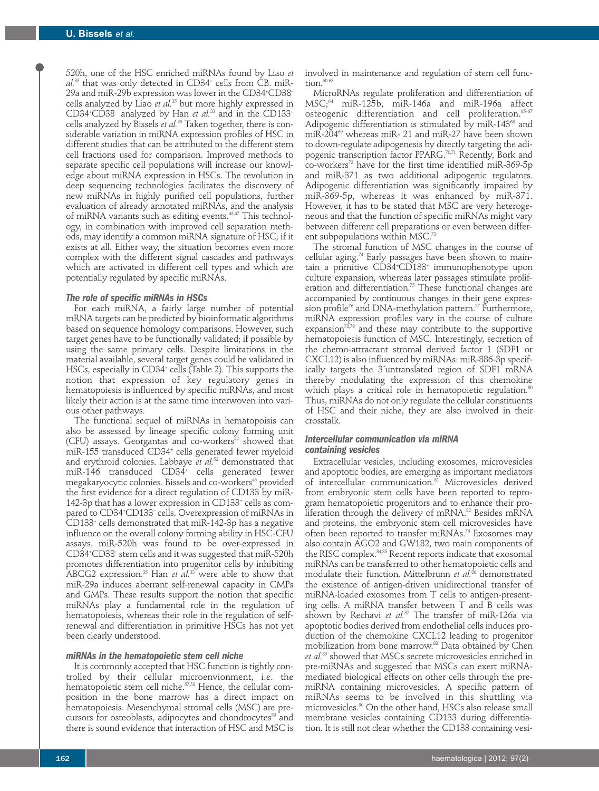520h, one of the HSC enriched miRNAs found by Liao *et al.*<sup>35</sup> that was only detected in CD34+ cells from CB. miR-29a and miR-29b expression was lower in the CD34+ CD38– cells analyzed by Liao *et al.*<sup>35</sup> but more highly expressed in CD34+ CD38− analyzed by Han *et al.*<sup>33</sup> and in the CD133+ cells analyzed by Bissels *et al.*<sup>45</sup> Taken together, there is considerable variation in miRNA expression profiles of HSC in different studies that can be attributed to the different stem cell fractions used for comparison. Improved methods to separate specific cell populations will increase our knowledge about miRNA expression in HSCs. The revolution in deep sequencing technologies facilitates the discovery of new miRNAs in highly purified cell populations, further evaluation of already annotated miRNAs, and the analysis of miRNA variants such as editing events.43,47 This technology, in combination with improved cell separation methods, may identify a common miRNA signature of HSC; if it exists at all. Either way, the situation becomes even more complex with the different signal cascades and pathways which are activated in different cell types and which are potentially regulated by specific miRNAs.

## *The role of specific miRNAs in HSCs*

For each miRNA, a fairly large number of potential mRNA targets can be predicted by bioinformatic algorithms based on sequence homology comparisons. However, such target genes have to be functionally validated; if possible by using the same primary cells. Despite limitations in the material available, several target genes could be validated in HSCs, especially in CD34<sup>+</sup> cells (Table 2). This supports the notion that expression of key regulatory genes in hematopoiesis is influenced by specific miRNAs, and most likely their action is at the same time interwoven into various other pathways.

The functional sequel of miRNAs in hematopoisis can also be assessed by lineage specific colony forming unit (CFU) assays. Georgantas and co-workers<sup>42</sup> showed that miR-155 transduced CD34+ cells generated fewer myeloid and erythroid colonies. Labbaye *et al.*<sup>52</sup> demonstrated that miR-146 transduced CD34+ cells generated fewer megakaryocytic colonies. Bissels and co-workers<sup>45</sup> provided the first evidence for a direct regulation of CD133 by miR-142-3p that has a lower expression in CD133+ cells as compared to CD34+ CD133– cells. Overexpression of miRNAs in CD133+ cells demonstrated that miR-142-3p has a negative influence on the overall colony forming ability in HSC-CFU assays. miR-520h was found to be over-expressed in CD34+ CD38– stem cells and it was suggested that miR-520h promotes differentiation into progenitor cells by inhibiting ABCG2 expression.35 Han *et al.*<sup>33</sup> were able to show that miR-29a induces aberrant self-renewal capacity in CMPs and GMPs. These results support the notion that specific miRNAs play a fundamental role in the regulation of hematopoiesis, whereas their role in the regulation of selfrenewal and differentiation in primitive HSCs has not yet been clearly understood.

#### *miRNAs in the hematopoietic stem cell niche*

It is commonly accepted that HSC function is tightly controlled by their cellular microenvionment, i.e. the hematopoietic stem cell niche.<sup>57,58</sup> Hence, the cellular composition in the bone marrow has a direct impact on hematopoiesis. Mesenchymal stromal cells (MSC) are precursors for osteoblasts, adipocytes and chondrocytes<sup>59</sup> and there is sound evidence that interaction of HSC and MSC is

involved in maintenance and regulation of stem cell function.<sup>60-6</sup>

MicroRNAs regulate proliferation and differentiation of MSC;64 miR-125b, miR-146a and miR-196a affect osteogenic differentiation and cell proliferation.<sup>65-67</sup> Adipogenic differentiation is stimulated by miR-143<sup>68</sup> and miR-204 $\%$  whereas miR- 21 and miR-27 have been shown to down-regulate adipogenesis by directly targeting the adipogenic transcription factor PPARG.<sup>70,71</sup> Recently, Bork and  $co$ -workers<sup>72</sup> have for the first time identified miR-369-5p and miR-371 as two additional adipogenic regulators. Adipogenic differentiation was significantly impaired by miR-369-5p, whereas it was enhanced by miR-371. However, it has to be stated that MSC are very heterogeneous and that the function of specific miRNAs might vary between different cell preparations or even between different subpopulations within MSC.<sup>73</sup>

The stromal function of MSC changes in the course of cellular aging.74 Early passages have been shown to maintain a primitive CD34+ CD133+ immunophenotype upon culture expansion, whereas later passages stimulate proliferation and differentiation.<sup>75</sup> These functional changes are accompanied by continuous changes in their gene expression profile<sup>76</sup> and DNA-methylation pattern.<sup>77</sup> Furthermore, miRNA expression profiles vary in the course of culture expansion $78,79$  and these may contribute to the supportive hematopoiesis function of MSC. Interestingly, secretion of the chemo-attractant stromal derived factor 1 (SDF1 or CXCL12) is also influenced by miRNAs: miR-886-3p specifically targets the 3´untranslated region of SDF1 mRNA thereby modulating the expression of this chemokine which plays a critical role in hematopoietic regulation.<sup>80</sup> Thus, miRNAs do not only regulate the cellular constituents of HSC and their niche, they are also involved in their crosstalk.

## *Intercellular communication via miRNA containing vesicles*

Extracellular vesicles, including exosomes, microvesicles and apoptotic bodies, are emerging as important mediators of intercellular communication.<sup>81</sup> Microvesicles derived from embryonic stem cells have been reported to reprogram hematopoietic progenitors and to enhance their proliferation through the delivery of mRNA.<sup>82</sup> Besides mRNA and proteins, the embryonic stem cell microvesicles have often been reported to transfer miRNAs.<sup>74</sup> Exosomes may also contain AGO2 and GW182, two main components of the RISC complex.<sup>84,85</sup> Recent reports indicate that exosomal miRNAs can be transferred to other hematopoietic cells and modulate their function. Mittelbrunn *et al.<sup>86</sup>* demonstrated the existence of antigen-driven unidirectional transfer of miRNA-loaded exosomes from T cells to antigen-presenting cells. A miRNA transfer between T and B cells was shown by Rechavi *et al.*<sup>87</sup> The transfer of miR-126a via apoptotic bodies derived from endothelial cells induces production of the chemokine CXCL12 leading to progenitor mobilization from bone marrow.88 Data obtained by Chen *et al.*<sup>89</sup> showed that MSCs secrete microvesicles enriched in pre-miRNAs and suggested that MSCs can exert miRNAmediated biological effects on other cells through the premiRNA containing microvesicles. A specific pattern of miRNAs seems to be involved in this shuttling via microvesicles.90 On the other hand, HSCs also release small membrane vesicles containing CD133 during differentiation. It is still not clear whether the CD133 containing vesi-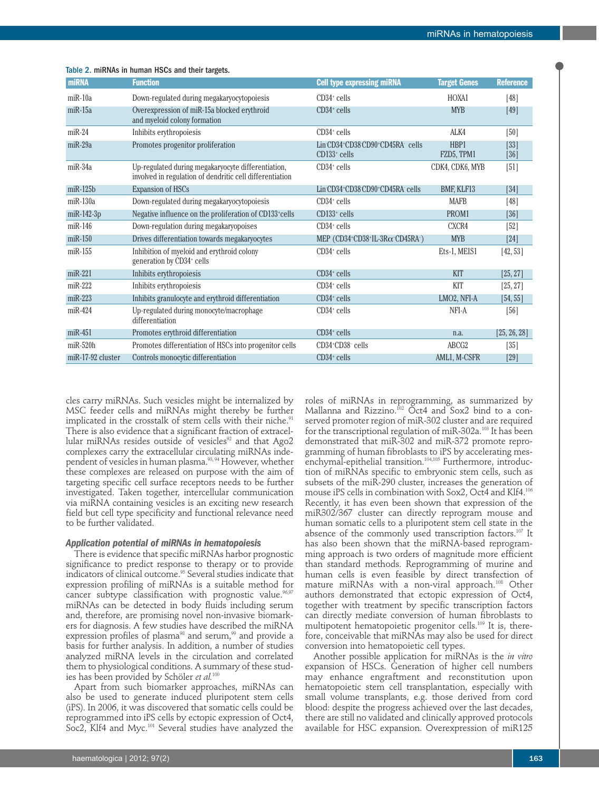| <b>miRNA</b>      | <b>Function</b>                                                                                                | <b>Cell type expressing miRNA</b>                 | <b>Target Genes</b> | <b>Reference</b> |
|-------------------|----------------------------------------------------------------------------------------------------------------|---------------------------------------------------|---------------------|------------------|
| $miR-10a$         | Down-regulated during megakaryocytopoiesis                                                                     | $CD34+$ cells                                     | HOXA1               | [48]             |
| $miR-15a$         | Overexpression of miR-15a blocked erythroid<br>and myeloid colony formation                                    | $CD34+$ cells                                     | <b>MYB</b>          | $[49]$           |
| $miR-24$          | Inhibits erythropoiesis                                                                                        | $CD34+$ cells                                     | ALK4                | [50]             |
| $miR-29a$         | Promotes progenitor proliferation                                                                              | Lin CD34+CD38 CD90+CD45RA cells<br>$CD133+$ cells | HBP1<br>FZD5, TPM1  | $[33]$<br>[36]   |
| $miR-34a$         | Up-regulated during megakaryocyte differentiation,<br>involved in regulation of dendritic cell differentiation | $CD34+$ cells                                     | CDK4, CDK6, MYB     | [51]             |
| $m$ i $R-125b$    | <b>Expansion of HSCs</b>                                                                                       | Lin CD34+CD38 CD90+CD45RA cells                   | BMF, KLF13          | $[34]$           |
| $miR-130a$        | Down-regulated during megakaryocytopoiesis                                                                     | $CD34+$ cells                                     | <b>MAFB</b>         | $[48]$           |
| $miR-142-3p$      | Negative influence on the proliferation of CD133 <sup>+</sup> cells                                            | $CD133+$ cells                                    | PROM1               | [36]             |
| $m$ i $R-146$     | Down-regulation during megakaryopoises                                                                         | $CD34+$ cells                                     | CXCR4               | $[52]$           |
| $m$ i $R-150$     | Drives differentiation towards megakaryocytes                                                                  | MEP (CD34+CD38+IL-3R $\alpha$ -CD45RA-)           | <b>MYB</b>          | $[24]$           |
| $miR-155$         | Inhibition of myeloid and erythroid colony<br>generation by CD34+ cells                                        | $CD34+$ cells                                     | Ets-1, MEIS1        | [42, 53]         |
| $miR-221$         | Inhibits erythropoiesis                                                                                        | $CD34+$ cells                                     | <b>KIT</b>          | [25, 27]         |
| $miR-222$         | Inhibits erythropoiesis                                                                                        | $CD34+$ cells                                     | KIT                 | [25, 27]         |
| $miR-223$         | Inhibits granulocyte and erythroid differentiation                                                             | $CD34+$ cells                                     | LMO2, NFI-A         | [54, 55]         |
| $m$ iR-424        | Up-regulated during monocyte/macrophage<br>differentiation                                                     | $CD34+$ cells                                     | NFI-A               | [56]             |
| $miR-451$         | Promotes erythroid differentiation                                                                             | $CD34+$ cells                                     | n.a.                | [25, 26, 28]     |
| $miR-520h$        | Promotes differentiation of HSCs into progenitor cells                                                         | CD34+CD38-cells                                   | ABCG <sub>2</sub>   | $[35]$           |
| miR-17-92 cluster | Controls monocytic differentiation                                                                             | $CD34+$ cells                                     | AML1, M-CSFR        | $[29]$           |

#### Table 2. miRNAs in human HSCs and their targets.

cles carry miRNAs. Such vesicles might be internalized by MSC feeder cells and miRNAs might thereby be further implicated in the crosstalk of stem cells with their niche.<sup>91</sup> There is also evidence that a significant fraction of extracellular miRNAs resides outside of vesicles<sup>92</sup> and that Ago2 complexes carry the extracellular circulating miRNAs independent of vesicles in human plasma.<sup>93, 94</sup> However, whether these complexes are released on purpose with the aim of targeting specific cell surface receptors needs to be further investigated. Taken together, intercellular communication via miRNA containing vesicles is an exciting new research field but cell type specificity and functional relevance need to be further validated.

#### *Application potential of miRNAs in hematopoiesis*

There is evidence that specific miRNAs harbor prognostic significance to predict response to therapy or to provide indicators of clinical outcome.95 Several studies indicate that expression profiling of miRNAs is a suitable method for cancer subtype classification with prognostic value.<sup>96,97</sup> miRNAs can be detected in body fluids including serum and, therefore, are promising novel non-invasive biomarkers for diagnosis. A few studies have described the miRNA expression profiles of plasma<sup>98</sup> and serum,<sup>99</sup> and provide a basis for further analysis. In addition, a number of studies analyzed miRNA levels in the circulation and correlated them to physiological conditions. A summary of these studies has been provided by Schöler et al.<sup>100</sup>

Apart from such biomarker approaches, miRNAs can also be used to generate induced pluripotent stem cells (iPS). In 2006, it was discovered that somatic cells could be reprogrammed into iPS cells by ectopic expression of Oct4, Soc2, Klf4 and Myc.<sup>101</sup> Several studies have analyzed the

roles of miRNAs in reprogramming, as summarized by Mallanna and Rizzino.<sup>102</sup> Oct4 and Sox2 bind to a conserved promoter region of miR-302 cluster and are required for the transcriptional regulation of miR-302a.<sup>103</sup> It has been demonstrated that miR-302 and miR-372 promote reprogramming of human fibroblasts to iPS by accelerating mesenchymal-epithelial transition.<sup>104,105</sup> Furthermore, introduction of miRNAs specific to embryonic stem cells, such as subsets of the miR-290 cluster, increases the generation of mouse iPS cells in combination with Sox2, Oct4 and Klf4.<sup>106</sup> Recently, it has even been shown that expression of the miR302/367 cluster can directly reprogram mouse and human somatic cells to a pluripotent stem cell state in the absence of the commonly used transcription factors.<sup>107</sup> It has also been shown that the miRNA-based reprogramming approach is two orders of magnitude more efficient than standard methods. Reprogramming of murine and human cells is even feasible by direct transfection of mature miRNAs with a non-viral approach.<sup>108</sup> Other authors demonstrated that ectopic expression of Oct4, together with treatment by specific transcription factors can directly mediate conversion of human fibroblasts to multipotent hematopoietic progenitor cells.109 It is, therefore, conceivable that miRNAs may also be used for direct conversion into hematopoietic cell types.

Another possible application for miRNAs is the *in vitro* expansion of HSCs. Generation of higher cell numbers may enhance engraftment and reconstitution upon hematopoietic stem cell transplantation, especially with small volume transplants, e.g. those derived from cord blood: despite the progress achieved over the last decades, there are still no validated and clinically approved protocols available for HSC expansion. Overexpression of miR125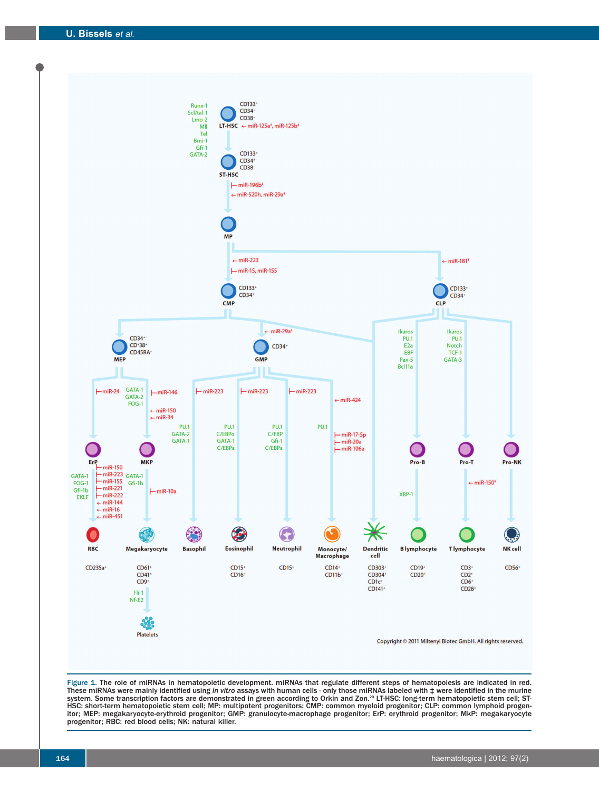

Figure 1. The role of miRNAs in hematopoietic development. miRNAs that regulate different steps of hematopoiesis are indicated in red. These miRNAs were mainly identified using *in vitro* assays with human cells - only those miRNAs labeled with‡were identified in the murine<br>system. Some transcription factors are demonstrated in green according to Orkin a HSC: short-term hematopoietic stem cell; MP: multipotent progenitors; CMP: common myeloid progenitor; CLP: common lymphoid progenitor; MEP: megakaryocyte-erythroid progenitor; GMP: granulocyte-macrophage progenitor; ErP: erythroid progenitor; MkP: megakaryocyte progenitor; RBC: red blood cells; NK: natural killer.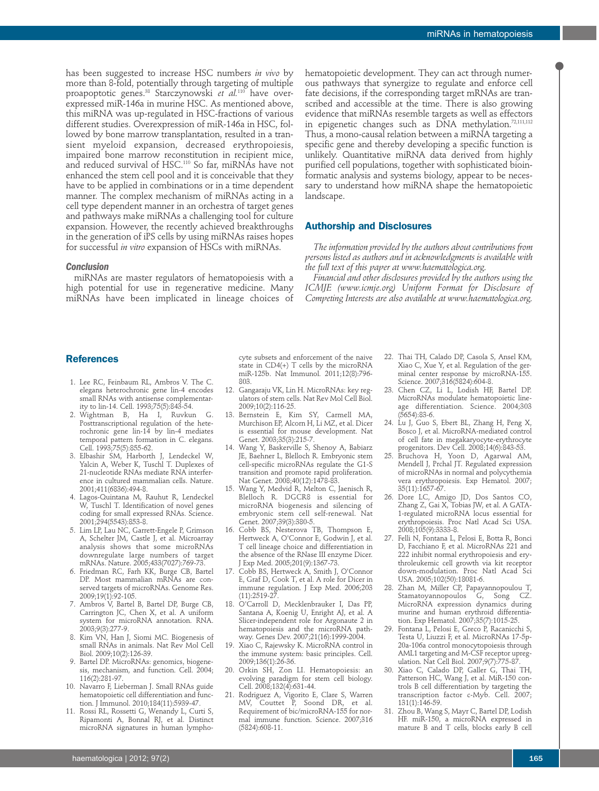has been suggested to increase HSC numbers *in vivo* by more than 8-fold, potentially through targeting of multiple proapoptotic genes.38 Starczynowski *et al.*<sup>110</sup> have overexpressed miR-146a in murine HSC. As mentioned above, this miRNA was up-regulated in HSC-fractions of various different studies. Overexpression of miR-146a in HSC, followed by bone marrow transplantation, resulted in a transient myeloid expansion, decreased erythropoiesis, impaired bone marrow reconstitution in recipient mice, and reduced survival of HSC.110 So far, miRNAs have not enhanced the stem cell pool and it is conceivable that they have to be applied in combinations or in a time dependent manner. The complex mechanism of miRNAs acting in a cell type dependent manner in an orchestra of target genes and pathways make miRNAs a challenging tool for culture expansion. However, the recently achieved breakthroughs in the generation of iPS cells by using miRNAs raises hopes for successful *in vitro* expansion of HSCs with miRNAs.

#### *Conclusion*

miRNAs are master regulators of hematopoiesis with a high potential for use in regenerative medicine. Many miRNAs have been implicated in lineage choices of hematopoietic development. They can act through numerous pathways that synergize to regulate and enforce cell fate decisions, if the corresponding target mRNAs are transcribed and accessible at the time. There is also growing evidence that miRNAs resemble targets as well as effectors in epigenetic changes such as  $DNA$  methylation.<sup>72,111,112</sup> Thus, a mono-causal relation between a miRNA targeting a specific gene and thereby developing a specific function is unlikely. Quantitative miRNA data derived from highly purified cell populations, together with sophisticated bioinformatic analysis and systems biology, appear to be necessary to understand how miRNA shape the hematopoietic landscape.

# **Authorship and Disclosures**

*The information provided by the authors about contributions from persons listed as authors and in acknowledgments is available with the full text of this paper at www.haematologica.org.*

*Financial and other disclosures provided by the authors using the ICMJE (www.icmje.org) Uniform Format for Disclosure of Competing Interests are also available at www.haematologica.org.*

## **References**

- 1. Lee RC, Feinbaum RL, Ambros V. The C. elegans heterochronic gene lin-4 encodes small RNAs with antisense complementarity to lin-14. Cell. 1993;75(5):843-54.
- 2. Wightman B, Ha I, Ruvkun G. Posttranscriptional regulation of the heterochronic gene lin-14 by lin-4 mediates temporal pattern formation in C. elegans. Cell. 1993;75(5):855-62.
- 3. Elbashir SM, Harborth J, Lendeckel W, Yalcin A, Weber K, Tuschl T. Duplexes of 21-nucleotide RNAs mediate RNA interference in cultured mammalian cells. Nature. 2001;411(6836):494-8.
- 4. Lagos-Quintana M, Rauhut R, Lendeckel W, Tuschl T. Identification of novel genes coding for small expressed RNAs. Science. 2001;294(5543):853-8.
- 5. Lim LP, Lau NC, Garrett-Engele P, Grimson A, Schelter JM, Castle J, et al. Microarray analysis shows that some microRNAs downregulate large numbers of target mRNAs. Nature. 2005;433(7027):769-73.
- 6. Friedman RC, Farh KK, Burge CB, Bartel DP. Most mammalian mRNAs are conserved targets of microRNAs. Genome Res. 2009;19(1):92-105.
- 7. Ambros V, Bartel B, Bartel DP, Burge CB, Carrington JC, Chen X, et al. A uniform system for microRNA annotation. RNA. 2003;9(3):277-9.
- 8. Kim VN, Han J, Siomi MC. Biogenesis of small RNAs in animals. Nat Rev Mol Cell Biol. 2009;10(2):126-39.
- 9. Bartel DP. MicroRNAs: genomics, biogenesis, mechanism, and function. Cell. 2004; 116(2):281-97.
- 10. Navarro F, Lieberman J. Small RNAs guide hematopoietic cell differentiation and function. J Immunol. 2010;184(11):5939-47.
- 11. Rossi RL, Rossetti G, Wenandy L, Curti S, Ripamonti A, Bonnal RJ, et al. Distinct microRNA signatures in human lympho-

cyte subsets and enforcement of the naive state in CD4(+) T cells by the microRNA miR-125b. Nat Immunol. 2011;12(8):796- 803.

- 12. Gangaraju VK, Lin H. MicroRNAs: key regulators of stem cells. Nat Rev Mol Cell Biol. 2009;10(2):116-25.
- 13. Bernstein E, Kim SY, Carmell MA, Murchison EP, Alcorn H, Li MZ, et al. Dicer is essential for mouse development. Nat Genet. 2003;35(3):215-7.
- 14. Wang Y, Baskerville S, Shenoy A, Babiarz JE, Baehner L, Blelloch R. Embryonic stem cell-specific microRNAs regulate the G1-S transition and promote rapid proliferation. Nat Genet. 2008;40(12):1478-83.
- 15. Wang Y, Medvid R, Melton C, Jaenisch R, Blelloch R. DGCR8 is essential for microRNA biogenesis and silencing of embryonic stem cell self-renewal. Nat Genet. 2007;39(3):380-5.
- 16. Cobb BS, Nesterova TB, Thompson E, Hertweck A, O'Connor E, Godwin J, et al. T cell lineage choice and differentiation in the absence of the RNase III enzyme Dicer. J Exp Med. 2005;201(9):1367-73.
- 17. Cobb BS, Hertweck A, Smith J, O'Connor E, Graf D, Cook T, et al. A role for Dicer in immune regulation. J Exp Med. 2006;203  $(11):2519-27$
- 18. O'Carroll D, Mecklenbrauker I, Das PP, Santana A, Koenig U, Enright AJ, et al. A Slicer-independent role for Argonaute 2 in hematopoiesis and the microRNA pathway. Genes Dev. 2007;21(16):1999-2004.
- 19. Xiao C, Rajewsky K. MicroRNA control in the immune system: basic principles. Cell. 2009;136(1):26-36.
- 20. Orkin SH, Zon LI. Hematopoiesis: an evolving paradigm for stem cell biology. Cell. 2008;132(4):631-44.
- 21. Rodriguez A, Vigorito E, Clare S, Warren MV, Couttet P, Soond DR, et al. Requirement of bic/microRNA-155 for normal immune function. Science. 2007;316 (5824):608-11.
- 22. Thai TH, Calado DP, Casola S, Ansel KM, Xiao C, Xue Y, et al. Regulation of the germinal center response by microRNA-155. Science. 2007;316(5824):604-8.
- 23. Chen CZ, Li L, Lodish HF, Bartel DP. MicroRNAs modulate hematopoietic lineage differentiation. Science. 2004;303 (5654):83-6.
- 24. Lu J, Guo S, Ebert BL, Zhang H, Peng X, Bosco J, et al. MicroRNA-mediated control of cell fate in megakaryocyte-erythrocyte progenitors. Dev Cell. 2008;14(6):843-53.
- 25. Bruchova H, Yoon D, Agarwal AM, Mendell J, Prchal JT. Regulated expression of microRNAs in normal and polycythemia vera erythropoiesis. Exp Hematol. 2007; 35(11):1657-67.
- 26. Dore LC, Amigo JD, Dos Santos CO, Zhang Z, Gai X, Tobias JW, et al. A GATA-1-regulated microRNA locus essential for erythropoiesis. Proc Natl Acad Sci USA. 2008;105(9):3333-8.
- 27. Felli N, Fontana L, Pelosi E, Botta R, Bonci D, Facchiano F, et al. MicroRNAs 221 and 222 inhibit normal erythropoiesis and erythroleukemic cell growth via kit receptor down-modulation. Proc Natl Acad Sci USA. 2005;102(50):18081-6.
- 28. Zhan M, Miller CP, Papayannopoulou T, Stamatoyannopoulos G, Song CZ. MicroRNA expression dynamics during murine and human erythroid differentiation. Exp Hematol. 2007;35(7):1015-25.
- 29. Fontana L, Pelosi E, Greco P, Racanicchi S, Testa U, Liuzzi F, et al. MicroRNAs 17-5p-20a-106a control monocytopoiesis through AML1 targeting and M-CSF receptor upregulation. Nat Cell Biol. 2007;9(7):775-87.
- 30. Xiao C, Calado DP, Galler G, Thai TH, Patterson HC, Wang J, et al. MiR-150 controls B cell differentiation by targeting the transcription factor c-Myb. Cell. 2007; 131(1):146-59.
- 31. Zhou B, Wang S, Mayr C, Bartel DP, Lodish HF. miR-150, a microRNA expressed in mature B and T cells, blocks early B cell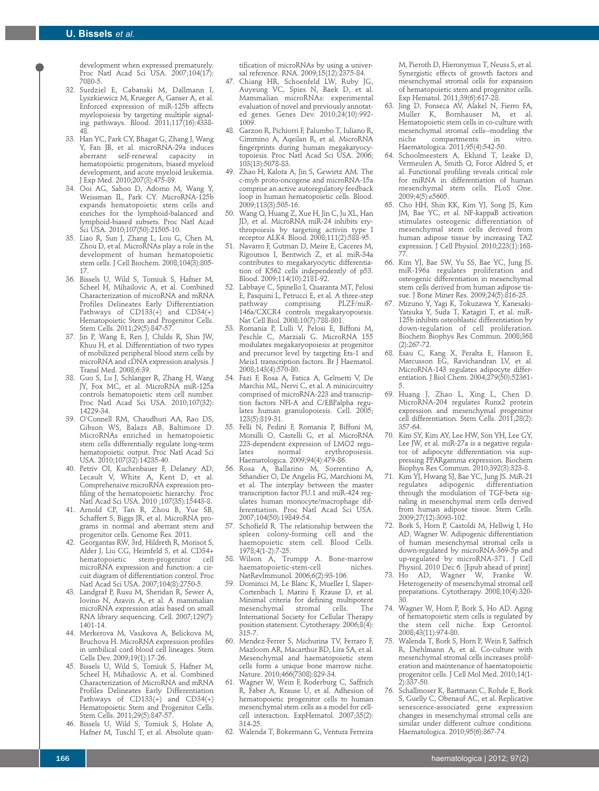development when expressed prematurely. Proc Natl Acad Sci USA. 2007;104(17): 7080-5.

- 32. Surdziel E, Cabanski M, Dallmann I, Lyszkiewicz M, Krueger A, Ganser A, et al. Enforced expression of miR-125b affects myelopoiesis by targeting multiple signaling pathways. Blood. 2011;117(16):4338- 48.
- 33. Han YC, Park CY, Bhagat G, Zhang J, Wang Y, Fan JB, et al. microRNA-29a induces<br>aberrant self-renewal capacity in self-renewal capacity in hematopoietic progenitors, biased myeloid development, and acute myeloid leukemia. J Exp Med. 2010;207(3):475-89.
- 34. Ooi AG, Sahoo D, Adorno M, Wang Y, Weissman IL, Park CY. MicroRNA-125b expands hematopoietic stem cells and enriches for the lymphoid-balanced and lymphoid-biased subsets. Proc Natl Acad Sci USA. 2010;107(50):21505-10.
- 35. Liao R, Sun J, Zhang L, Lou G, Chen M, Zhou D, et al. MicroRNAs play a role in the development of human hematopoietic stem cells. J Cell Biochem. 2008;104(3):805- 17.
- 36. Bissels U, Wild S, Tomiuk S, Hafner M, Scheel H, Mihailovic A, et al. Combined Characterization of microRNA and mRNA Profiles Delineates Early Differentiation Pathways of CD133(+) and CD34(+) Hematopoietic Stem and Progenitor Cells. Stem Cells. 2011;29(5):847-57.
- 37. Jin P, Wang E, Ren J, Childs R, Shin JW, Khuu H, et al. Differentiation of two types of mobilized peripheral blood stem cells by microRNA and cDNA expression analysis. J Transl Med. 2008;6:39.
- 38. Guo S, Lu J, Schlanger R, Zhang H, Wang JY, Fox MC, et al. MicroRNA miR-125a controls hematopoietic stem cell number. Proc Natl Acad Sci USA. 2010;107(32): 14229-34.
- 39. O'Connell RM, Chaudhuri AA, Rao DS, Gibson WS, Balazs AB, Baltimore D. MicroRNAs enriched in hematopoietic stem cells differentially regulate long-term hematopoietic output. Proc Natl Acad Sci USA. 2010;107(32):14235-40.
- 40. Petriv OI, Kuchenbauer F, Delaney AD, Lecault V, White A, Kent D, et al. Comprehensive microRNA expression profiling of the hematopoietic hierarchy. Proc Natl Acad Sci USA. 2010 ;107(35):15443-8.
- 41. Arnold CP, Tan R, Zhou B, Yue SB, Schaffert S, Biggs JR, et al. MicroRNA programs in normal and aberrant stem and progenitor cells. Genome Res. 2011.
- 42. Georgantas RW, 3rd, Hildreth R, Morisot S, Alder J, Liu CG, Heimfeld S, et al. CD34+<br>hematopoietic stem-progenitor cell hematopoietic stem-progenitor microRNA expression and function: a circuit diagram of differentiation control. Proc Natl Acad Sci USA. 2007;104(8):2750-5.
- 43. Landgraf P, Rusu M, Sheridan R, Sewer A, Iovino N, Aravin A, et al. A mammalian microRNA expression atlas based on small RNA library sequencing. Cell. 2007;129(7): 1401-14.
- 44. Merkerova M, Vasikova A, Belickova M, Bruchova H. MicroRNA expression profiles in umbilical cord blood cell lineages. Stem Cells Dev. 2009;19(1):17-26.
- 45. Bissels U, Wild S, Tomiuk S, Hafner M, Scheel H, Mihailovic A, et al. Combined Characterization of MicroRNA and mRNA Profiles Delineates Early Differentiation Pathways of CD133(+) and CD34(+) Hematopoietic Stem and Progenitor Cells. Stem Cells. 2011;29(5):847-57.
- 46. Bissels U, Wild S, Tomiuk S, Holste A, Hafner M, Tuschl T, et al. Absolute quan-

tification of microRNAs by using a universal reference. RNA. 2009;15(12):2375-84.

- 47. Chiang HR, Schoenfeld LW, Ruby JG, Auyeung VC, Spies N, Baek D, et al. Mammalian microRNAs: experimental evaluation of novel and previously annotated genes. Genes Dev. 2010;24(10):992- 1009.
- 48. Garzon R, Pichiorri F, Palumbo T, Iuliano R, Cimmino A, Aqeilan R, et al. MicroRNA fingerprints during human megakaryocytopoiesis. Proc Natl Acad Sci USA. 2006; 103(13):5078-83.
- 49. Zhao H, Kalota A, Jin S, Gewirtz AM. The c-myb proto-oncogene and microRNA-15a comprise an active autoregulatory feedback loop in human hematopoietic cells. Blood. 2009;113(3):505-16.
- 50. Wang Q, Huang Z, Xue H, Jin C, Ju XL, Han JD, et al. MicroRNA miR-24 inhibits erythropoiesis by targeting activin type I receptor ALK4. Blood. 2008;111(2):588-95.
- 51. Navarro F, Gutman D, Meire E, Caceres M, Rigoutsos I, Bentwich Z, et al. miR-34a contributes to megakaryocytic differentiation of K562 cells independently of p53. Blood. 2009;114(10):2181-92.
- 52. Labbaye C, Spinello I, Quaranta MT, Pelosi E, Pasquini L, Petrucci E, et al. A three-step<br>pathway comprising PLZF/miRpathway comprising PLZF/miR-146a/CXCR4 controls megakaryopoiesis. Nat Cell Biol. 2008;10(7):788-801.
- 53. Romania P, Lulli V, Pelosi E, Biffoni M, Peschle C, Marziali G. MicroRNA 155 modulates megakaryopoiesis at progenitor and precursor level by targeting Ets-1 and Meis1 transcription factors. Br J Haematol. 2008;143(4):570-80.
- 54. Fazi F, Rosa A, Fatica A, Gelmetti V, De Marchis ML, Nervi C, et al. A minicircuitry comprised of microRNA-223 and transcription factors NFI-A and C/EBPalpha regulates human granulopoiesis. Cell. 2005; 123(5):819-31.
- 55. Felli N, Pedini F, Romania P, Biffoni M, Morsilli O, Castelli G, et al. MicroRNA 223-dependent expression of LMO2 reguerythropoiesis. Haematologica. 2009;94(4):479-86.
- 56. Rosa A, Ballarino M, Sorrentino A, Sthandier O, De Angelis FG, Marchioni M, et al. The interplay between the master transcription factor PU.1 and miR-424 regulates human monocyte/macrophage differentiation. Proc Natl Acad Sci USA. 2007;104(50):19849-54.
- 57. Schofield R. The relationship between the spleen colony-forming cell and the haemopoietic stem cell. Blood Cells. 1978;4(1-2):7-25.
- 58. Wilson A, Trumpp A. Bone-marrow haematopoietic-stem-cell NatRevImmunol. 2006;6(2):93-106.
- 59. Dominici M, Le Blanc K, Mueller I, Slaper-Cortenbach I, Marini F, Krause D, et al. Minimal criteria for defining multipotent<br>mesenchymal stromal cells. The mesenchymal stromal International Society for Cellular Therapy position statement. Cytotherapy. 2006;8(4): 315-7.
- 60. Mendez-Ferrer S, Michurina TV, Ferraro F, Mazloom AR, Macarthur BD, Lira SA, et al. Mesenchymal and haematopoietic stem cells form a unique bone marrow niche. Nature. 2010;466(7308):829-34.
- Wagner W, Wein F, Roderburg C, Saffrich R, Faber A, Krause U, et al. Adhesion of hematopoietic progenitor cells to human mesenchymal stem cells as a model for cellcell interaction. ExpHematol. 2007;35(2): 314-25.
- 62. Walenda T, Bokermann G, Ventura Ferreira

M, Pieroth D, Hieronymus T, Neuss S, et al. Synergistic effects of growth factors and mesenchymal stromal cells for expansion of hematopoietic stem and progenitor cells. Exp Hematol. 2011;39(6):617-28.

- 63. Jing D, Fonseca AV, Alakel N, Fierro FA, Muller K, Bornhauser M, et al. Hematopoietic stem cells in co-culture with mesenchymal stromal cells--modeling the<br>niche compartments in vitro. compartments Haematologica. 2011;95(4):542-50.
- Schoolmeesters A, Eklund T, Leake D, Vermeulen A, Smith Q, Force Aldred S, et al. Functional profiling reveals critical role for miRNA in differentiation of human mesenchymal stem cells. PLoS One. 2009;4(5):e5605.
- 65. Cho HH, Shin KK, Kim YJ, Song JS, Kim JM, Bae YC, et al. NF-kappaB activation stimulates osteogenic differentiation of mesenchymal stem cells derived from human adipose tissue by increasing TAZ expression. J Cell Physiol. 2010;223(1):168- 77.
- 66. Kim YJ, Bae SW, Yu SS, Bae YC, Jung JS. miR-196a regulates proliferation and osteogenic differentiation in mesenchymal stem cells derived from human adipose tissue. J Bone Miner Res. 2009;24(5):816-25.
- 67. Mizuno Y, Yagi K, Tokuzawa Y, Kanesaki-Yatsuka Y, Suda T, Katagiri T, et al. miR-125b inhibits osteoblastic differentiation by down-regulation of cell proliferation. Biochem Biophys Res Commun. 2008;368 (2):267-72.
- 68. Esau C, Kang X, Peralta E, Hanson E, Marcusson EG, Ravichandran LV, et al. MicroRNA-143 regulates adipocyte differentiation. J Biol Chem. 2004;279(50):52361- 5.
- 69. Huang J, Zhao L, Xing L, Chen D. MicroRNA-204 regulates Runx2 protein expression and mesenchymal progenitor cell differentiation. Stem Cells. 2011;28(2): 357-64.
- 70. Kim SY, Kim AY, Lee HW, Son YH, Lee GY, Lee JW, et al. miR-27a is a negative regulator of adipocyte differentiation via suppressing PPARgamma expression. Biochem Biophys Res Commun. 2010;392(3):323-8.
- 71. Kim YJ, Hwang SJ, Bae YC, Jung JS. MiR-21<br>regulates adipogenic differentiation adipogenic through the modulation of TGF-beta signaling in mesenchymal stem cells derived from human adipose tissue. Stem Cells. 2009;27(12):3093-102.
- 72. Bork S, Horn P, Castoldi M, Hellwig I, Ho AD, Wagner W. Adipogenic differentiation of human mesenchymal stromal cells is down-regulated by microRNA-369-5p and up-regulated by microRNA-371. J Cell Physiol. 2010 Dec 6. [Epub ahead of print]
- 73. Ho AD, Wagner W, Franke W. Heterogeneity of mesenchymal stromal cell preparations. Cytotherapy. 2008;10(4):320- 30.
- 74. Wagner W, Horn P, Bork S, Ho AD. Aging of hematopoietic stem cells is regulated by the stem cell niche. Exp Gerontol. 2008;43(11):974-80.
- 75. Walenda T, Bork S, Horn P, Wein F, Saffrich R, Diehlmann A, et al. Co-culture with mesenchymal stromal cells increases proliferation and maintenance of haematopoietic progenitor cells. J Cell Mol Med. 2010;14(1- 2):337-50.
- 76. Schallmoser K, Bartmann C, Rohde E, Bork S, Guelly C, Obenauf AC, et al. Replicative senescence-associated gene expression changes in mesenchymal stromal cells are similar under different culture conditions. Haematologica. 2010;95(6):867-74.